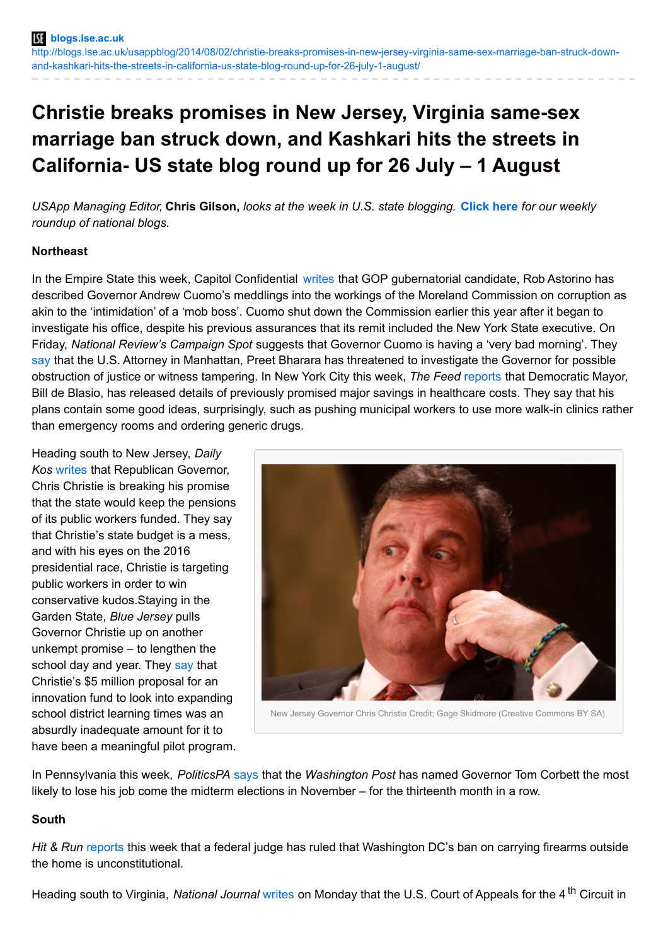# **Christie breaks promises in New Jersey, Virginia same-sex marriage ban struck down, and Kashkari hits the streets in California- US state blog round up for 26 July – 1 August**

USApp Managing Editor, Chris Gilson, looks at the week in U.S. state blogging. [Click](http://blogs.lse.ac.uk/usappblog/2014/08/01/democrats-make-hay-on-impeachment-talk-gop-border-bill-troubles-and-congress-banned-from-wikipedia-edits-us-national-blog-round-up-for-26-july-1-august/) here for our weekly *roundup of national blogs.*

## **Northeast**

In the Empire State this week, Capitol Confidential [writes](http://blog.timesunion.com/capitol/archives/217669/astorino-cuomos-intimidation-in-style-of-a-mafia-boss/) that GOP gubernatorial candidate, Rob Astorino has described Governor Andrew Cuomo's meddlings into the workings of the Moreland Commission on corruption as akin to the 'intimidation' of a 'mob boss'. Cuomo shut down the Commission earlier this year after it began to investigate his office, despite his previous assurances that its remit included the New York State executive. On Friday, *National Review's Campaign Spot* suggests that Governor Cuomo is having a 'very bad morning'. They [say](http://www.nationalreview.com/campaign-spot/384204/new-yorks-governor-andrew-cuomo-having-very-bad-morning-jim-geraghty) that the U.S. Attorney in Manhattan, Preet Bharara has threatened to investigate the Governor for possible obstruction of justice or witness tampering. In New York City this week, *The Feed* [reports](http://www.the-american-interest.com/blog/2014/07/30/de-blasio-brings-common-sense-to-nyc-health-care/) that Democratic Mayor, Bill de Blasio, has released details of previously promised major savings in healthcare costs. They say that his plans contain some good ideas, surprisingly, such as pushing municipal workers to use more walk-in clinics rather than emergency rooms and ordering generic drugs.

Heading south to New Jersey, *Daily Kos* [writes](http://www.dailykos.com/story/2014/07/28/1317259/-Chris-Christie-is-breaking-his-own-pension-promises-Welcome-to-the-real-world-folks) that Republican Governor, Chris Christie is breaking his promise that the state would keep the pensions of its public workers funded. They say that Christie's state budget is a mess, and with his eyes on the 2016 presidential race, Christie is targeting public workers in order to win conservative kudos.Staying in the Garden State, *Blue Jersey* pulls Governor Christie up on another unkempt promise – to lengthen the school day and year. They [say](http://www.bluejersey.com/diary/25531/govchristie-education-politics-not-education-policy) that Christie's \$5 million proposal for an innovation fund to look into expanding school district learning times was an absurdly inadequate amount for it to have been a meaningful pilot program.



New Jersey Governor Chris Christie Credit; Gage Skidmore (Creative Commons BY SA)

In Pennsylvania this week, *PoliticsPA* [says](http://www.politicspa.com/washington-post-names-corbett-most-vulnerable-governor-again/59520/) that the *Washington Post* has named Governor Tom Corbett the most likely to lose his job come the midterm elections in November – for the thirteenth month in a row.

## **South**

*Hit & Run* [reports](http://reason.com/blog/2014/07/27/dc-ban-on-handguns) this week that a federal judge has ruled that Washington DC's ban on carrying firearms outside the home is unconstitutional.

Heading south to Virginia, *National Journal* [writes](http://www.nationaljournal.com/politics/a-virginia-court-has-struck-down-the-state-s-same-sex-marriage-ban-20140728) on Monday that the U.S. Court of Appeals for the 4 th Circuit in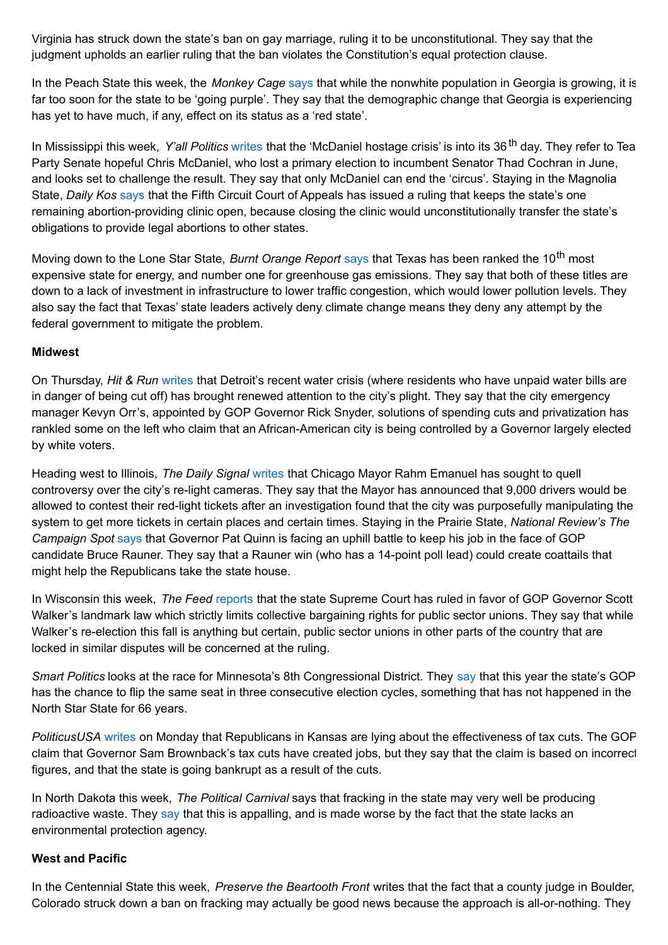Virginia has struck down the state's ban on gay marriage, ruling it to be unconstitutional. They say that the judgment upholds an earlier ruling that the ban violates the Constitution's equal protection clause.

In the Peach State this week, the *Monkey Cage* [says](http://www.washingtonpost.com/blogs/monkey-cage/wp/2014/07/28/a-purple-or-even-blue-georgia-not-yet/) that while the nonwhite population in Georgia is growing, it is far too soon for the state to be 'going purple'. They say that the demographic change that Georgia is experiencing has yet to have much, if any, effect on its status as a 'red state'.

In Mississippi this week, *Y'all Politics* [writes](http://yallpolitics.com/index.php/yp/post/the_mcdaniel_hostage_crisis_day_36_tired_of_the_circus_yet/) that the 'McDaniel hostage crisis' is into its 36 th day. They refer to Tea Party Senate hopeful Chris McDaniel, who lost a primary election to incumbent Senator Thad Cochran in June, and looks set to challenge the result. They say that only McDaniel can end the 'circus'. Staying in the Magnolia State, *Daily Kos* [says](http://www.dailykos.com/story/2014/07/30/1317882/-Fifth-Circuit-tells-Mississippi-it-cannot-close-its-last-abortion-clinic-over-admitting-privileges) that the Fifth Circuit Court of Appeals has issued a ruling that keeps the state's one remaining abortion-providing clinic open, because closing the clinic would unconstitutionally transfer the state's obligations to provide legal abortions to other states.

Moving down to the Lone Star State, *Burnt Orange Report* [says](http://www.burntorangereport.com/diary/15505/texas-ranked-10th-most-expensive-state-for-energy-1st-for-greenhouse-gases) that Texas has been ranked the 10 th most expensive state for energy, and number one for greenhouse gas emissions. They say that both of these titles are down to a lack of investment in infrastructure to lower traffic congestion, which would lower pollution levels. They also say the fact that Texas' state leaders actively deny climate change means they deny any attempt by the federal government to mitigate the problem.

## **Midwest**

On Thursday, *Hit & Run* [writes](http://reason.com/blog/2014/07/31/a-republican-governor-took-over-detroit) that Detroit's recent water crisis (where residents who have unpaid water bills are in danger of being cut off) has brought renewed attention to the city's plight. They say that the city emergency manager Kevyn Orr's, appointed by GOP Governor Rick Snyder, solutions of spending cuts and privatization has rankled some on the left who claim that an African-American city is being controlled by a Governor largely elected by white voters.

Heading west to Illinois, *The Daily Signal* [writes](http://dailysignal.com/2014/07/27/rahm-emanuel-seeks-quell-controversy-red-light-cameras-chicago/) that Chicago Mayor Rahm Emanuel has sought to quell controversy over the city's re-light cameras. They say that the Mayor has announced that 9,000 drivers would be allowed to contest their red-light tickets after an investigation found that the city was purposefully manipulating the system to get more tickets in certain places and certain times. Staying in the Prairie State, *National Review's The Campaign Spot* [says](http://www.nationalreview.com/campaign-spot/384027/coming-republican-takeover-illinois-jim-geraghty) that Governor Pat Quinn is facing an uphill battle to keep his job in the face of GOP candidate Bruce Rauner. They say that a Rauner win (who has a 14-point poll lead) could create coattails that might help the Republicans take the state house.

In Wisconsin this week, *The Feed* [reports](http://www.the-american-interest.com/blog/2014/07/31/wisconsin-supreme-court-rules-for-walker/) that the state Supreme Court has ruled in favor of GOP Governor Scott Walker's landmark law which strictly limits collective bargaining rights for public sector unions. They say that while Walker's re-election this fall is anything but certain, public sector unions in other parts of the country that are locked in similar disputes will be concerned at the ruling.

*Smart Politics* looks at the race for Minnesota's 8th Congressional District. They [say](http://blog.lib.umn.edu/cspg/smartpolitics/2014/07/the_8th_congressional_district.php) that this year the state's GOP has the chance to flip the same seat in three consecutive election cycles, something that has not happened in the North Star State for 66 years.

*PoliticusUSA* [writes](http://www.politicususa.com/2014/07/28/kansas-bankrupt-republicans-lying-tax-cutting-reason.html) on Monday that Republicans in Kansas are lying about the effectiveness of tax cuts. The GOP claim that Governor Sam Brownback's tax cuts have created jobs, but they say that the claim is based on incorrect figures, and that the state is going bankrupt as a result of the cuts.

In North Dakota this week, *The Political Carnival* says that fracking in the state may very well be producing radioactive waste. They [say](http://thepoliticalcarnival.net/2014/07/27/radioactive-waste-a-toxic-byproduct-of-fracking-drilling-in-n-dakota/) that this is appalling, and is made worse by the fact that the state lacks an environmental protection agency.

### **West and Pacific**

In the Centennial State this week, *Preserve the Beartooth Front* writes that the fact that a county judge in Boulder, Colorado struck down a ban on fracking may actually be good news because the approach is all-or-nothing. They